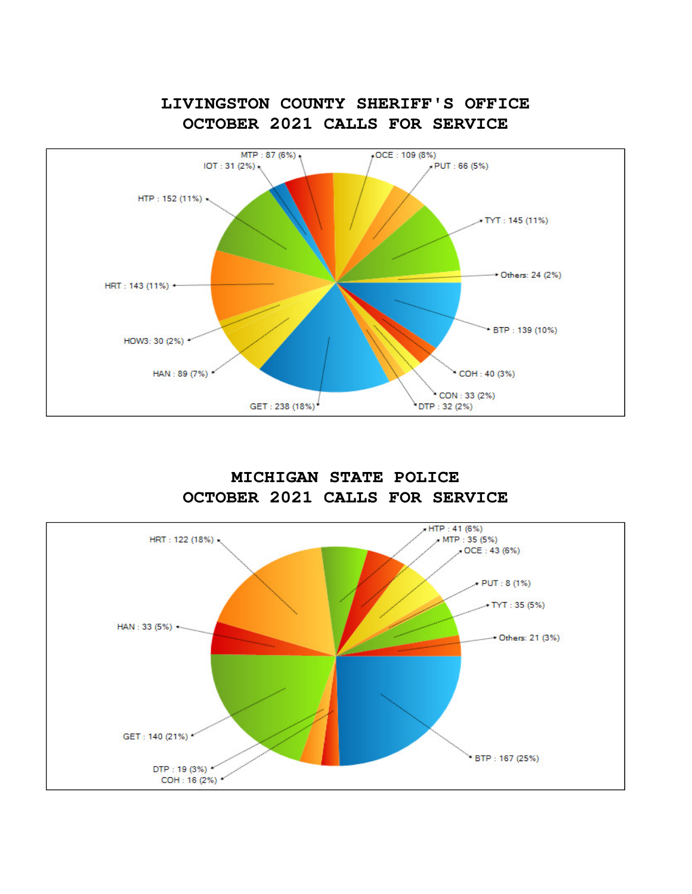

**LIVINGSTON COUNTY SHERIFF'S OFFICE**

**MICHIGAN STATE POLICE OCTOBER 2021 CALLS FOR SERVICE**

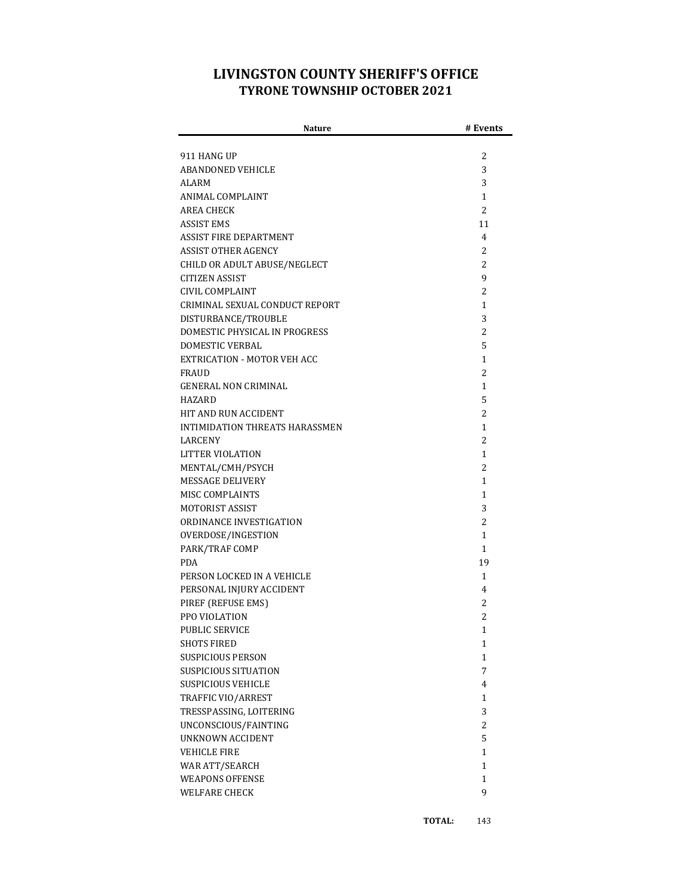## **LIVINGSTON COUNTY SHERIFF'S OFFICE TYRONE TOWNSHIP OCTOBER 2021**

| Nature                                | # Events    |
|---------------------------------------|-------------|
|                                       |             |
| 911 HANG UP                           | 2           |
| <b>ABANDONED VEHICLE</b>              | 3           |
| <b>ALARM</b>                          | 3           |
| ANIMAL COMPLAINT                      | 1           |
| AREA CHECK                            | 2           |
| ASSIST EMS                            | 11          |
| ASSIST FIRE DEPARTMENT                | 4           |
| <b>ASSIST OTHER AGENCY</b>            | 2           |
| CHILD OR ADULT ABUSE/NEGLECT          | 2           |
| CITIZEN ASSIST                        | 9           |
| CIVIL COMPLAINT                       | 2           |
| CRIMINAL SEXUAL CONDUCT REPORT        | 1           |
| DISTURBANCE/TROUBLE                   | 3           |
| DOMESTIC PHYSICAL IN PROGRESS         | 2           |
| <b>DOMESTIC VERBAL</b>                | 5           |
| EXTRICATION - MOTOR VEH ACC           | 1           |
| FRAUD                                 | 2           |
| <b>GENERAL NON CRIMINAL</b>           | 1           |
| HAZARD                                | 5           |
| <b>HIT AND RUN ACCIDENT</b>           | 2           |
| <b>INTIMIDATION THREATS HARASSMEN</b> | 1           |
| <b>LARCENY</b>                        | 2           |
| LITTER VIOLATION                      | 1           |
| MENTAL/CMH/PSYCH                      | 2           |
| <b>MESSAGE DELIVERY</b>               | 1           |
| MISC COMPLAINTS                       | 1           |
| MOTORIST ASSIST                       | 3           |
| ORDINANCE INVESTIGATION               | 2           |
| OVERDOSE/INGESTION                    | 1           |
| PARK/TRAF COMP                        | 1           |
| <b>PDA</b>                            | 19          |
| PERSON LOCKED IN A VEHICLE            | 1           |
| PERSONAL INJURY ACCIDENT              | 4           |
| PIREF (REFUSE EMS)                    | 2           |
| PPO VIOLATION                         | 2           |
| PUBLIC SERVICE                        | 1           |
| SHOTS FIRED                           | 1           |
| <b>SUSPICIOUS PERSON</b>              | $\mathbf 1$ |
| SUSPICIOUS SITUATION                  | 7           |
| <b>SUSPICIOUS VEHICLE</b>             | 4           |
| TRAFFIC VIO/ARREST                    | 1           |
| TRESSPASSING, LOITERING               | 3           |
| UNCONSCIOUS/FAINTING                  | 2           |
| <b>UNKNOWN ACCIDENT</b>               | 5           |
| <b>VEHICLE FIRE</b>                   | $\mathbf 1$ |
| WAR ATT/SEARCH                        | $\mathbf 1$ |
| <b>WEAPONS OFFENSE</b>                | $\mathbf 1$ |
| <b>WELFARE CHECK</b>                  | 9           |
|                                       |             |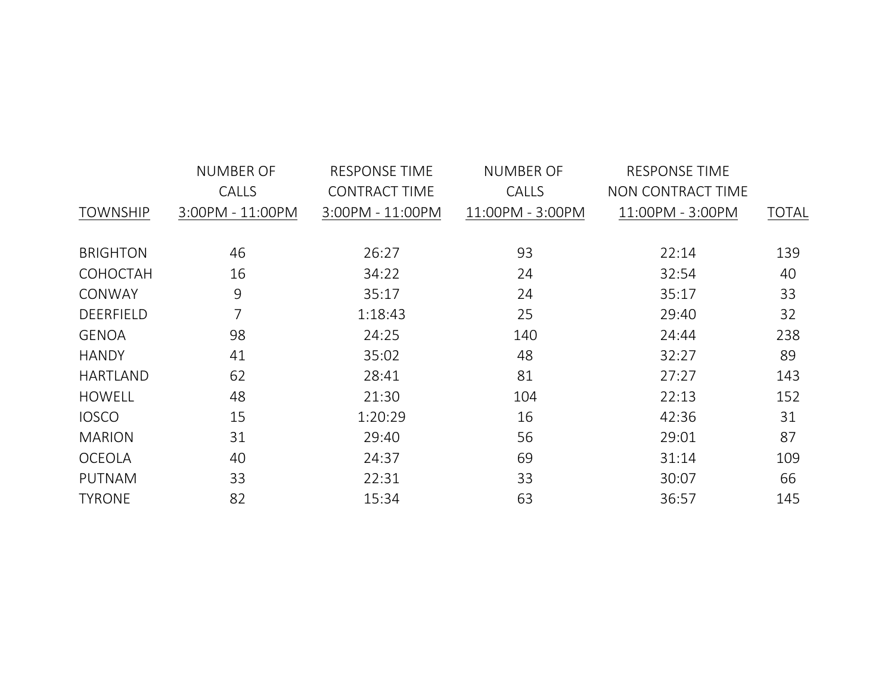|                  | <b>NUMBER OF</b> | <b>RESPONSE TIME</b> | <b>NUMBER OF</b> | <b>RESPONSE TIME</b> |              |
|------------------|------------------|----------------------|------------------|----------------------|--------------|
|                  | CALLS            | <b>CONTRACT TIME</b> | CALLS            | NON CONTRACT TIME    |              |
| <b>TOWNSHIP</b>  | 3:00PM - 11:00PM | 3:00PM - 11:00PM     | 11:00PM - 3:00PM | 11:00PM - 3:00PM     | <b>TOTAL</b> |
|                  |                  |                      |                  |                      |              |
| <b>BRIGHTON</b>  | 46               | 26:27                | 93               | 22:14                | 139          |
| <b>COHOCTAH</b>  | 16               | 34:22                | 24               | 32:54                | 40           |
| CONWAY           | 9                | 35:17                | 24               | 35:17                | 33           |
| <b>DEERFIELD</b> | 7                | 1:18:43              | 25               | 29:40                | 32           |
| <b>GENOA</b>     | 98               | 24:25                | 140              | 24:44                | 238          |
| <b>HANDY</b>     | 41               | 35:02                | 48               | 32:27                | 89           |
| <b>HARTLAND</b>  | 62               | 28:41                | 81               | 27:27                | 143          |
| <b>HOWELL</b>    | 48               | 21:30                | 104              | 22:13                | 152          |
| <b>IOSCO</b>     | 15               | 1:20:29              | 16               | 42:36                | 31           |
| <b>MARION</b>    | 31               | 29:40                | 56               | 29:01                | 87           |
| <b>OCEOLA</b>    | 40               | 24:37                | 69               | 31:14                | 109          |
| <b>PUTNAM</b>    | 33               | 22:31                | 33               | 30:07                | 66           |
| <b>TYRONE</b>    | 82               | 15:34                | 63               | 36:57                | 145          |
|                  |                  |                      |                  |                      |              |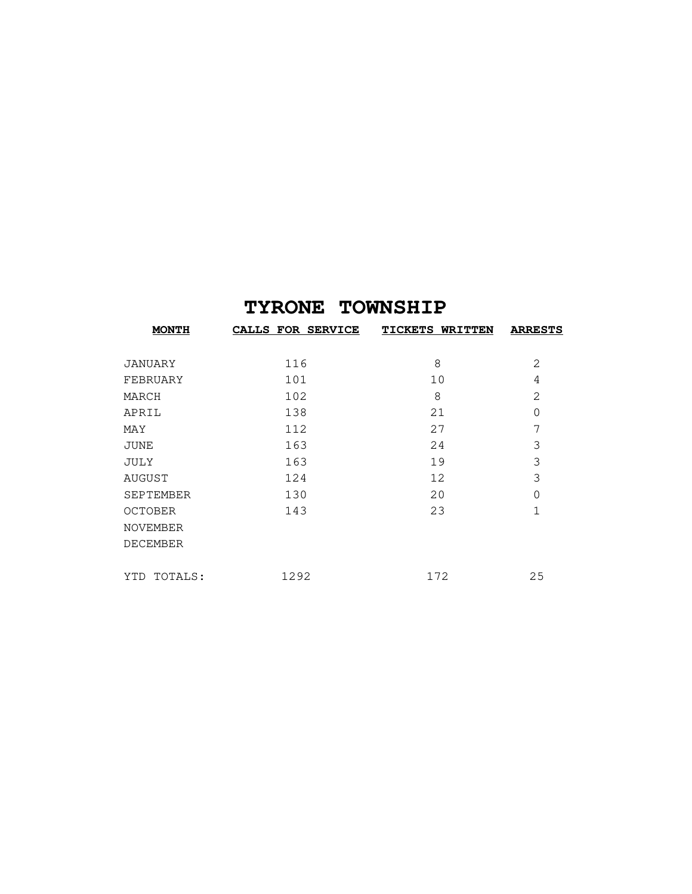## **TYRONE TOWNSHIP**

| <b>MONTH</b>     | CALLS FOR SERVICE | <b>TICKETS WRITTEN</b> | <b>ARRESTS</b> |
|------------------|-------------------|------------------------|----------------|
| JANUARY          | 116               | 8                      | 2              |
| FEBRUARY         | 101               | 10                     | 4              |
| MARCH            | 102               | 8                      | 2              |
| APRIL            | 138               | 21                     | $\Omega$       |
| MAY              | 112               | 27                     | 7              |
| JUNE             | 163               | 24                     | 3              |
| JULY             | 163               | 19                     | 3              |
| AUGUST           | 124               | 12                     | 3              |
| <b>SEPTEMBER</b> | 130               | 20                     | $\Omega$       |
| <b>OCTOBER</b>   | 143               | 23                     | $\mathbf{1}$   |
| <b>NOVEMBER</b>  |                   |                        |                |
| <b>DECEMBER</b>  |                   |                        |                |
|                  |                   |                        |                |
| TOTALS:<br>YTD   | 1292              | 172                    | 25             |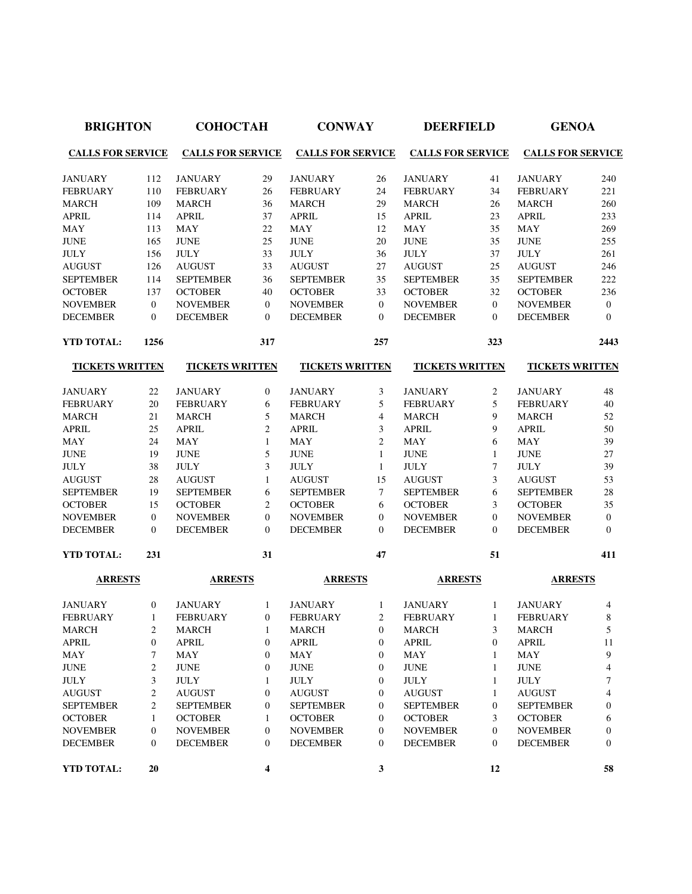| <b>BRIGHTON</b>          |                         | <b>СОНОСТАН</b>          |                         | <b>CONWAY</b>            |                  | <b>DEERFIELD</b>         |                  | <b>GENOA</b>             |                |
|--------------------------|-------------------------|--------------------------|-------------------------|--------------------------|------------------|--------------------------|------------------|--------------------------|----------------|
| <b>CALLS FOR SERVICE</b> |                         | <b>CALLS FOR SERVICE</b> |                         | <b>CALLS FOR SERVICE</b> |                  | <b>CALLS FOR SERVICE</b> |                  | <b>CALLS FOR SERVICE</b> |                |
| <b>JANUARY</b>           | 112                     | <b>JANUARY</b>           | 29                      | <b>JANUARY</b>           | 26               | <b>JANUARY</b>           | 41               | <b>JANUARY</b>           | 240            |
| <b>FEBRUARY</b>          | 110                     | <b>FEBRUARY</b>          | 26                      | <b>FEBRUARY</b>          | 24               | <b>FEBRUARY</b>          | 34               | <b>FEBRUARY</b>          | 221            |
| <b>MARCH</b>             | 109                     | <b>MARCH</b>             | 36                      | <b>MARCH</b>             | 29               | <b>MARCH</b>             | 26               | <b>MARCH</b>             | 260            |
| <b>APRIL</b>             | 114                     | <b>APRIL</b>             | 37                      | <b>APRIL</b>             | 15               | <b>APRIL</b>             | 23               | <b>APRIL</b>             | 233            |
| <b>MAY</b>               | 113                     | <b>MAY</b>               | 22                      | <b>MAY</b>               | 12               | <b>MAY</b>               | 35               | <b>MAY</b>               | 269            |
| <b>JUNE</b>              | 165                     | <b>JUNE</b>              | 25                      | <b>JUNE</b>              | 20               | <b>JUNE</b>              | 35               | <b>JUNE</b>              | 255            |
| <b>JULY</b>              | 156                     | <b>JULY</b>              | 33                      | <b>JULY</b>              | 36               | <b>JULY</b>              | 37               | <b>JULY</b>              | 261            |
| <b>AUGUST</b>            | 126                     | <b>AUGUST</b>            | 33                      | <b>AUGUST</b>            | 27               | <b>AUGUST</b>            | 25               | <b>AUGUST</b>            | 246            |
| <b>SEPTEMBER</b>         | 114                     | <b>SEPTEMBER</b>         | 36                      | <b>SEPTEMBER</b>         | 35               | <b>SEPTEMBER</b>         | 35               | <b>SEPTEMBER</b>         | 222            |
| <b>OCTOBER</b>           | 137                     | <b>OCTOBER</b>           | 40                      | <b>OCTOBER</b>           | 33               | <b>OCTOBER</b>           | 32               | <b>OCTOBER</b>           | 236            |
| <b>NOVEMBER</b>          | $\boldsymbol{0}$        | <b>NOVEMBER</b>          | $\overline{0}$          | <b>NOVEMBER</b>          | $\overline{0}$   | <b>NOVEMBER</b>          | $\theta$         | <b>NOVEMBER</b>          | $\overline{0}$ |
| <b>DECEMBER</b>          | 0                       | <b>DECEMBER</b>          | $\mathbf{0}$            | <b>DECEMBER</b>          | $\theta$         | <b>DECEMBER</b>          | $\overline{0}$   | <b>DECEMBER</b>          | $\theta$       |
| <b>YTD TOTAL:</b>        | 1256                    |                          | 317                     |                          | 257              |                          | 323              |                          | 2443           |
| <b>TICKETS WRITTEN</b>   |                         | <b>TICKETS WRITTEN</b>   |                         | <b>TICKETS WRITTEN</b>   |                  | <b>TICKETS WRITTEN</b>   |                  | <b>TICKETS WRITTEN</b>   |                |
| <b>JANUARY</b>           | 22                      | <b>JANUARY</b>           | $\boldsymbol{0}$        | <b>JANUARY</b>           | 3                | <b>JANUARY</b>           | 2                | <b>JANUARY</b>           | 48             |
| <b>FEBRUARY</b>          | 20                      | <b>FEBRUARY</b>          | 6                       | <b>FEBRUARY</b>          | 5                | <b>FEBRUARY</b>          | 5                | <b>FEBRUARY</b>          | 40             |
| <b>MARCH</b>             | 21                      | <b>MARCH</b>             | 5                       | <b>MARCH</b>             | 4                | <b>MARCH</b>             | 9                | <b>MARCH</b>             | 52             |
| <b>APRIL</b>             | 25                      | <b>APRIL</b>             | $\overline{c}$          | <b>APRIL</b>             | 3                | <b>APRIL</b>             | 9                | <b>APRIL</b>             | 50             |
| <b>MAY</b>               | 24                      | <b>MAY</b>               | $\mathbf{1}$            | <b>MAY</b>               | $\overline{2}$   | <b>MAY</b>               | 6                | <b>MAY</b>               | 39             |
| <b>JUNE</b>              | 19                      | <b>JUNE</b>              | 5                       | <b>JUNE</b>              | $\mathbf{1}$     | <b>JUNE</b>              | 1                | <b>JUNE</b>              | 27             |
| <b>JULY</b>              | 38                      | <b>JULY</b>              | 3                       | <b>JULY</b>              | $\mathbf{1}$     | <b>JULY</b>              | $\overline{7}$   | <b>JULY</b>              | 39             |
| <b>AUGUST</b>            | 28                      | <b>AUGUST</b>            | $\mathbf{1}$            | <b>AUGUST</b>            | 15               | <b>AUGUST</b>            | 3                | <b>AUGUST</b>            | 53             |
| <b>SEPTEMBER</b>         | 19                      | <b>SEPTEMBER</b>         | 6                       | <b>SEPTEMBER</b>         | $\tau$           | <b>SEPTEMBER</b>         | 6                | <b>SEPTEMBER</b>         | 28             |
| <b>OCTOBER</b>           | 15                      | <b>OCTOBER</b>           | $\overline{c}$          | <b>OCTOBER</b>           | 6                | <b>OCTOBER</b>           | 3                | <b>OCTOBER</b>           | 35             |
| <b>NOVEMBER</b>          | $\boldsymbol{0}$        | <b>NOVEMBER</b>          | $\mathbf{0}$            | <b>NOVEMBER</b>          | $\boldsymbol{0}$ | <b>NOVEMBER</b>          | $\mathbf{0}$     | <b>NOVEMBER</b>          | $\overline{0}$ |
| <b>DECEMBER</b>          | $\overline{0}$          | <b>DECEMBER</b>          | $\Omega$                | <b>DECEMBER</b>          | $\overline{0}$   | <b>DECEMBER</b>          | $\mathbf{0}$     | <b>DECEMBER</b>          | $\mathbf{0}$   |
| <b>YTD TOTAL:</b>        | 231                     |                          | 31                      |                          | 47               |                          | 51               |                          | 411            |
| <b>ARRESTS</b>           |                         | <b>ARRESTS</b>           |                         | <b>ARRESTS</b>           |                  | <b>ARRESTS</b>           |                  | <b>ARRESTS</b>           |                |
| <b>JANUARY</b>           | $\boldsymbol{0}$        | <b>JANUARY</b>           | $\mathbf{1}$            | <b>JANUARY</b>           | $\mathbf{1}$     | <b>JANUARY</b>           | $\mathbf{1}$     | <b>JANUARY</b>           | $\overline{4}$ |
| <b>FEBRUARY</b>          | $\mathbf{1}$            | <b>FEBRUARY</b>          | $\mathbf{0}$            | <b>FEBRUARY</b>          | 2                | <b>FEBRUARY</b>          | $\mathbf{1}$     | <b>FEBRUARY</b>          | 8              |
| <b>MARCH</b>             | $\overline{\mathbf{c}}$ | <b>MARCH</b>             | 1                       | <b>MARCH</b>             | $\boldsymbol{0}$ | <b>MARCH</b>             | 3                | <b>MARCH</b>             | 5              |
| <b>APRIL</b>             | 0                       | <b>APRIL</b>             | $\boldsymbol{0}$        | <b>APRIL</b>             | $\boldsymbol{0}$ | <b>APRIL</b>             | $\boldsymbol{0}$ | <b>APRIL</b>             | 11             |
| MAY                      | 7                       | MAY                      | $\boldsymbol{0}$        | <b>MAY</b>               | $\boldsymbol{0}$ | MAY                      | 1                | MAY                      | 9              |
| <b>JUNE</b>              | 2                       | <b>JUNE</b>              | $\boldsymbol{0}$        | <b>JUNE</b>              | $\boldsymbol{0}$ | <b>JUNE</b>              | 1                | <b>JUNE</b>              | 4              |
| <b>JULY</b>              | 3                       | <b>JULY</b>              | $\mathbf{1}$            | <b>JULY</b>              | 0                | <b>JULY</b>              | $\mathbf{1}$     | <b>JULY</b>              | 7              |
| <b>AUGUST</b>            | 2                       | <b>AUGUST</b>            | $\boldsymbol{0}$        | <b>AUGUST</b>            | 0                | <b>AUGUST</b>            | $\mathbf{1}$     | <b>AUGUST</b>            | 4              |
| <b>SEPTEMBER</b>         | 2                       | <b>SEPTEMBER</b>         | $\boldsymbol{0}$        | <b>SEPTEMBER</b>         | $\boldsymbol{0}$ | <b>SEPTEMBER</b>         | $\boldsymbol{0}$ | <b>SEPTEMBER</b>         | $\theta$       |
| <b>OCTOBER</b>           | 1                       | <b>OCTOBER</b>           | 1                       | <b>OCTOBER</b>           | 0                | <b>OCTOBER</b>           | 3                | <b>OCTOBER</b>           | 6              |
| <b>NOVEMBER</b>          | 0                       | <b>NOVEMBER</b>          | $\boldsymbol{0}$        | <b>NOVEMBER</b>          | 0                | <b>NOVEMBER</b>          | $\mathbf{0}$     | <b>NOVEMBER</b>          | $\theta$       |
| <b>DECEMBER</b>          | 0                       | <b>DECEMBER</b>          | $\boldsymbol{0}$        | <b>DECEMBER</b>          | $\boldsymbol{0}$ | <b>DECEMBER</b>          | $\mathbf{0}$     | <b>DECEMBER</b>          | $\theta$       |
| YTD TOTAL:               | 20                      |                          | $\overline{\mathbf{4}}$ |                          | 3                |                          | 12               |                          | 58             |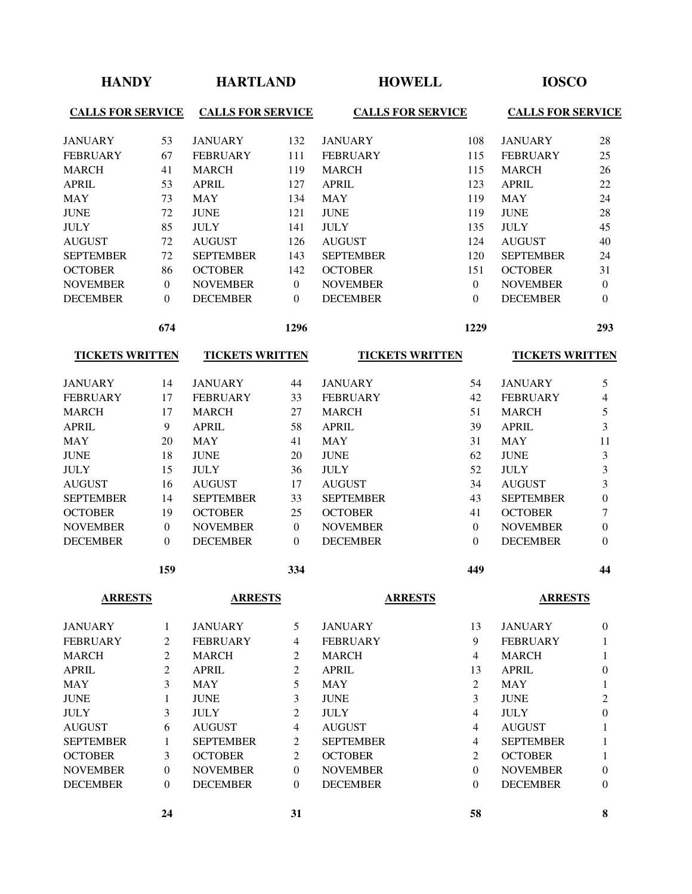| <b>HANDY</b>             |                | <b>HARTLAND</b>          |                |                          | <b>HOWELL</b>  | <b>IOSCO</b>             |                         |
|--------------------------|----------------|--------------------------|----------------|--------------------------|----------------|--------------------------|-------------------------|
| <b>CALLS FOR SERVICE</b> |                | <b>CALLS FOR SERVICE</b> |                | <b>CALLS FOR SERVICE</b> |                | <b>CALLS FOR SERVICE</b> |                         |
| <b>JANUARY</b>           | 53             | <b>JANUARY</b>           | 132            | <b>JANUARY</b>           | 108            | <b>JANUARY</b>           | 28                      |
| <b>FEBRUARY</b>          | 67             | <b>FEBRUARY</b>          | 111            | <b>FEBRUARY</b>          | 115            | <b>FEBRUARY</b>          | 25                      |
| <b>MARCH</b>             | 41             | <b>MARCH</b>             | 119            | <b>MARCH</b>             | 115            | <b>MARCH</b>             | 26                      |
| <b>APRIL</b>             | 53             | <b>APRIL</b>             | 127            | <b>APRIL</b>             | 123            | <b>APRIL</b>             | 22                      |
| <b>MAY</b>               | 73             | <b>MAY</b>               | 134            | <b>MAY</b>               | 119            | <b>MAY</b>               | 24                      |
| <b>JUNE</b>              | 72             | <b>JUNE</b>              | 121            | <b>JUNE</b>              | 119            | <b>JUNE</b>              | 28                      |
| <b>JULY</b>              | 85             | <b>JULY</b>              | 141            | <b>JULY</b>              | 135            | <b>JULY</b>              | 45                      |
| <b>AUGUST</b>            | 72             | <b>AUGUST</b>            | 126            | <b>AUGUST</b>            | 124            | <b>AUGUST</b>            | 40                      |
| <b>SEPTEMBER</b>         | 72             | <b>SEPTEMBER</b>         | 143            | <b>SEPTEMBER</b>         | 120            | <b>SEPTEMBER</b>         | 24                      |
| <b>OCTOBER</b>           | 86             | <b>OCTOBER</b>           | 142            | <b>OCTOBER</b>           | 151            | <b>OCTOBER</b>           | 31                      |
| <b>NOVEMBER</b>          | $\mathbf{0}$   | <b>NOVEMBER</b>          | $\mathbf{0}$   | <b>NOVEMBER</b>          | $\overline{0}$ | <b>NOVEMBER</b>          | $\boldsymbol{0}$        |
| <b>DECEMBER</b>          | $\Omega$       | <b>DECEMBER</b>          | $\Omega$       | <b>DECEMBER</b>          | $\theta$       | <b>DECEMBER</b>          | $\theta$                |
|                          | 674            |                          | 1296           |                          | 1229           |                          | 293                     |
| <b>TICKETS WRITTEN</b>   |                | <b>TICKETS WRITTEN</b>   |                | <b>TICKETS WRITTEN</b>   |                | <b>TICKETS WRITTEN</b>   |                         |
| <b>JANUARY</b>           | 14             | <b>JANUARY</b>           | 44             | <b>JANUARY</b>           | 54             | <b>JANUARY</b>           | 5                       |
| <b>FEBRUARY</b>          | 17             | <b>FEBRUARY</b>          | 33             | <b>FEBRUARY</b>          | 42             | <b>FEBRUARY</b>          | 4                       |
| <b>MARCH</b>             | 17             | <b>MARCH</b>             | 27             | <b>MARCH</b>             | 51             | <b>MARCH</b>             | 5                       |
| <b>APRIL</b>             | $\overline{9}$ | <b>APRIL</b>             | 58             | <b>APRIL</b>             | 39             | <b>APRIL</b>             | 3                       |
| <b>MAY</b>               | 20             | <b>MAY</b>               | 41             | <b>MAY</b>               | 31             | <b>MAY</b>               | 11                      |
| <b>JUNE</b>              | 18             | <b>JUNE</b>              | 20             | <b>JUNE</b>              | 62             | <b>JUNE</b>              | 3                       |
| <b>JULY</b>              | 15             | <b>JULY</b>              | 36             | <b>JULY</b>              | 52             | <b>JULY</b>              | $\overline{\mathbf{3}}$ |
| <b>AUGUST</b>            | 16             | <b>AUGUST</b>            | 17             | <b>AUGUST</b>            | 34             | <b>AUGUST</b>            | 3                       |
| <b>SEPTEMBER</b>         | 14             | <b>SEPTEMBER</b>         | 33             | <b>SEPTEMBER</b>         | 43             | <b>SEPTEMBER</b>         | $\boldsymbol{0}$        |
| <b>OCTOBER</b>           | 19             | <b>OCTOBER</b>           | 25             | <b>OCTOBER</b>           | 41             | <b>OCTOBER</b>           | 7                       |
| <b>NOVEMBER</b>          | $\mathbf{0}$   | <b>NOVEMBER</b>          | $\theta$       | <b>NOVEMBER</b>          | $\theta$       | <b>NOVEMBER</b>          | $\boldsymbol{0}$        |
| <b>DECEMBER</b>          | $\Omega$       | <b>DECEMBER</b>          | $\Omega$       | <b>DECEMBER</b>          | $\Omega$       | <b>DECEMBER</b>          | $\overline{0}$          |
|                          | 159            |                          | 334            |                          | 449            |                          | 44                      |
| <b>ARRESTS</b>           |                | <b>ARRESTS</b>           |                | <b>ARRESTS</b>           |                | <b>ARRESTS</b>           |                         |
| <b>JANUARY</b>           | 1              | <b>JANUARY</b>           | 5              | <b>JANUARY</b>           | 13             | <b>JANUARY</b>           | $\boldsymbol{0}$        |
| <b>FEBRUARY</b>          | $\overline{c}$ | <b>FEBRUARY</b>          | $\overline{4}$ | <b>FEBRUARY</b>          | 9              | <b>FEBRUARY</b>          | 1                       |
| <b>MARCH</b>             | 2              | <b>MARCH</b>             | 2              | <b>MARCH</b>             | $\overline{4}$ | <b>MARCH</b>             | 1                       |
| <b>APRIL</b>             | $\overline{c}$ | <b>APRIL</b>             | $\overline{c}$ | <b>APRIL</b>             | 13             | <b>APRIL</b>             | $\boldsymbol{0}$        |
| <b>MAY</b>               | 3              | <b>MAY</b>               | 5              | <b>MAY</b>               | $\mathbf{2}$   | <b>MAY</b>               | $\mathbf{1}$            |
| <b>JUNE</b>              | $\mathbf{1}$   | <b>JUNE</b>              | 3              | <b>JUNE</b>              | 3              | <b>JUNE</b>              | 2                       |
| <b>JULY</b>              | 3              | <b>JULY</b>              | 2              | <b>JULY</b>              | $\overline{4}$ | <b>JULY</b>              | $\boldsymbol{0}$        |
| <b>AUGUST</b>            | 6              | <b>AUGUST</b>            | $\overline{4}$ | <b>AUGUST</b>            | 4              | <b>AUGUST</b>            | 1                       |
| <b>SEPTEMBER</b>         | $\mathbf{1}$   | <b>SEPTEMBER</b>         | 2              | <b>SEPTEMBER</b>         | 4              | <b>SEPTEMBER</b>         | 1                       |
| <b>OCTOBER</b>           | 3              | <b>OCTOBER</b>           | 2              | <b>OCTOBER</b>           | 2              | <b>OCTOBER</b>           | 1                       |
| <b>NOVEMBER</b>          | $\mathbf{0}$   | <b>NOVEMBER</b>          | $\theta$       | <b>NOVEMBER</b>          | $\theta$       | <b>NOVEMBER</b>          | 0                       |
| <b>DECEMBER</b>          | $\mathbf{0}$   | <b>DECEMBER</b>          | $\Omega$       | <b>DECEMBER</b>          | $\theta$       | <b>DECEMBER</b>          | 0                       |
|                          | 24             |                          | 31             |                          | 58             |                          | 8                       |